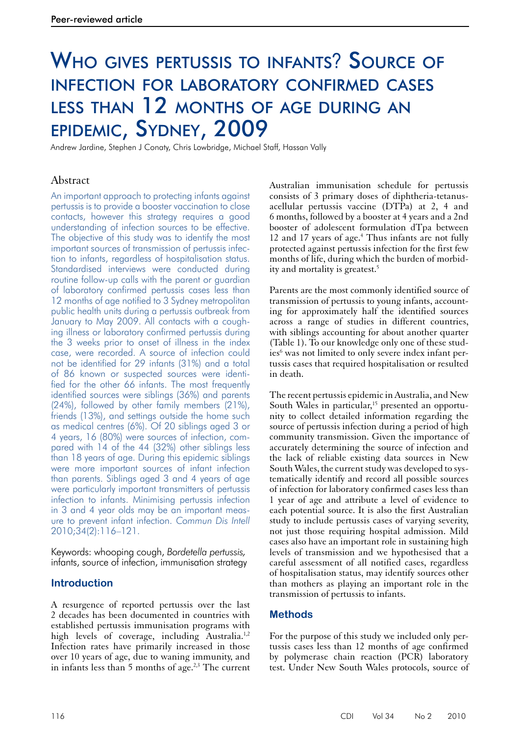# Who gives pertussis to infants? Source of infection for laboratory confirmed cases less than 12 months of age during an epidemic, Sydney, 2009

Andrew Jardine, Stephen J Conaty, Chris Lowbridge, Michael Staff, Hassan Vally

# Abstract

An important approach to protecting infants against pertussis is to provide a booster vaccination to close contacts, however this strategy requires a good understanding of infection sources to be effective. The objective of this study was to identify the most important sources of transmission of pertussis infection to infants, regardless of hospitalisation status. Standardised interviews were conducted during routine follow-up calls with the parent or guardian of laboratory confirmed pertussis cases less than 12 months of age notified to 3 Sydney metropolitan public health units during a pertussis outbreak from January to May 2009. All contacts with a coughing illness or laboratory confirmed pertussis during the 3 weeks prior to onset of illness in the index case, were recorded. A source of infection could not be identified for 29 infants (31%) and a total of 86 known or suspected sources were identified for the other 66 infants. The most frequently identified sources were siblings (36%) and parents (24%), followed by other family members (21%), friends (13%), and settings outside the home such as medical centres (6%). Of 20 siblings aged 3 or 4 years, 16 (80%) were sources of infection, compared with 14 of the 44 (32%) other siblings less than 18 years of age. During this epidemic siblings were more important sources of infant infection than parents. Siblings aged 3 and 4 years of age were particularly important transmitters of pertussis infection to infants. Minimising pertussis infection in 3 and 4 year olds may be an important measure to prevent infant infection. *Commun Dis Intell* 2010;34(2):116–121.

Keywords: whooping cough, *Bordetella pertussis,*  infants, source of infection, immunisation strategy

# **Introduction**

A resurgence of reported pertussis over the last 2 decades has been documented in countries with established pertussis immunisation programs with high levels of coverage, including Australia.<sup>1,2</sup> Infection rates have primarily increased in those over 10 years of age, due to waning immunity, and in infants less than  $5$  months of age.<sup>2,3</sup> The current Australian immunisation schedule for pertussis consists of 3 primary doses of diphtheria-tetanusacellular pertussis vaccine (DTPa) at 2, 4 and 6 months, followed by a booster at 4 years and a 2nd booster of adolescent formulation dTpa between 12 and 17 years of age.<sup>4</sup> Thus infants are not fully protected against pertussis infection for the first few months of life, during which the burden of morbidity and mortality is greatest.5

Parents are the most commonly identified source of transmission of pertussis to young infants, accounting for approximately half the identified sources across a range of studies in different countries, with siblings accounting for about another quarter (Table 1). To our knowledge only one of these studies<sup>6</sup> was not limited to only severe index infant pertussis cases that required hospitalisation or resulted in death.

The recent pertussis epidemic in Australia, and New South Wales in particular,<sup>15</sup> presented an opportunity to collect detailed information regarding the source of pertussis infection during a period of high community transmission. Given the importance of accurately determining the source of infection and the lack of reliable existing data sources in New South Wales, the current study was developed to systematically identify and record all possible sources of infection for laboratory confirmed cases less than 1 year of age and attribute a level of evidence to each potential source. It is also the first Australian study to include pertussis cases of varying severity, not just those requiring hospital admission. Mild cases also have an important role in sustaining high levels of transmission and we hypothesised that a careful assessment of all notified cases, regardless of hospitalisation status, may identify sources other than mothers as playing an important role in the transmission of pertussis to infants.

## **Methods**

For the purpose of this study we included only pertussis cases less than 12 months of age confirmed by polymerase chain reaction (PCR) laboratory test. Under New South Wales protocols, source of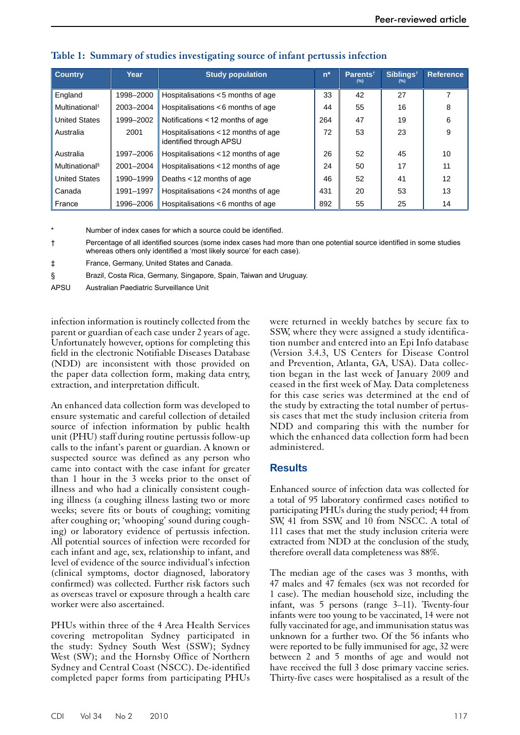| <b>Country</b>             | Year      | <b>Study population</b>                                       | $n^*$ | Parents <sup>†</sup><br>(%) | Siblings <sup>t</sup><br>(%) | <b>Reference</b> |
|----------------------------|-----------|---------------------------------------------------------------|-------|-----------------------------|------------------------------|------------------|
| England                    | 1998-2000 | Hospitalisations <5 months of age                             | 33    | 42                          | 27                           |                  |
| Multinational <sup>#</sup> | 2003-2004 | Hospitalisations <6 months of age                             | 44    | 55                          | 16                           | 8                |
| <b>United States</b>       | 1999-2002 | Notifications < 12 months of age                              | 264   | 47                          | 19                           | 6                |
| Australia                  | 2001      | Hospitalisations <12 months of age<br>identified through APSU | 72    | 53                          | 23                           | 9                |
| Australia                  | 1997-2006 | Hospitalisations <12 months of age                            | 26    | 52                          | 45                           | 10               |
| Multinational <sup>§</sup> | 2001-2004 | Hospitalisations <12 months of age                            | 24    | 50                          | 17                           | 11               |
| <b>United States</b>       | 1990-1999 | Deaths < 12 months of age                                     | 46    | 52                          | 41                           | 12               |
| Canada                     | 1991-1997 | Hospitalisations <24 months of age                            | 431   | 20                          | 53                           | 13               |
| France                     | 1996-2006 | Hospitalisations <6 months of age                             | 892   | 55                          | 25                           | 14               |

## **Table 1: Summary of studies investigating source of infant pertussis infection**

Number of index cases for which a source could be identified.

† Percentage of all identified sources (some index cases had more than one potential source identified in some studies whereas others only identified a 'most likely source' for each case).

‡ France, Germany, United States and Canada.

§ Brazil, Costa Rica, Germany, Singapore, Spain, Taiwan and Uruguay.

APSU Australian Paediatric Surveillance Unit

infection information is routinely collected from the parent or guardian of each case under 2 years of age. Unfortunately however, options for completing this field in the electronic Notifiable Diseases Database (NDD) are inconsistent with those provided on the paper data collection form, making data entry, extraction, and interpretation difficult.

An enhanced data collection form was developed to ensure systematic and careful collection of detailed source of infection information by public health unit (PHU) staff during routine pertussis follow-up calls to the infant's parent or guardian. A known or suspected source was defined as any person who came into contact with the case infant for greater than 1 hour in the 3 weeks prior to the onset of illness and who had a clinically consistent coughing illness (a coughing illness lasting two or more weeks; severe fits or bouts of coughing; vomiting after coughing or; 'whooping' sound during coughing) or laboratory evidence of pertussis infection. All potential sources of infection were recorded for each infant and age, sex, relationship to infant, and level of evidence of the source individual's infection (clinical symptoms, doctor diagnosed, laboratory confirmed) was collected. Further risk factors such as overseas travel or exposure through a health care worker were also ascertained.

PHUs within three of the 4 Area Health Services covering metropolitan Sydney participated in the study: Sydney South West (SSW); Sydney West (SW); and the Hornsby Office of Northern Sydney and Central Coast (NSCC). De-identified completed paper forms from participating PHUs

were returned in weekly batches by secure fax to SSW, where they were assigned a study identification number and entered into an Epi Info database (Version 3.4.3, US Centers for Disease Control and Prevention, Atlanta, GA, USA). Data collection began in the last week of January 2009 and ceased in the first week of May. Data completeness for this case series was determined at the end of the study by extracting the total number of pertussis cases that met the study inclusion criteria from NDD and comparing this with the number for which the enhanced data collection form had been administered.

## **Results**

Enhanced source of infection data was collected for a total of 95 laboratory confirmed cases notified to participating PHUs during the study period; 44 from SW, 41 from SSW, and 10 from NSCC. A total of 111 cases that met the study inclusion criteria were extracted from NDD at the conclusion of the study, therefore overall data completeness was 88%.

The median age of the cases was 3 months, with 47 males and 47 females (sex was not recorded for 1 case). The median household size, including the infant, was 5 persons (range 3–11). Twenty-four infants were too young to be vaccinated, 14 were not fully vaccinated for age, and immunisation status was unknown for a further two. Of the 56 infants who were reported to be fully immunised for age, 32 were between 2 and 5 months of age and would not have received the full 3 dose primary vaccine series. Thirty-five cases were hospitalised as a result of the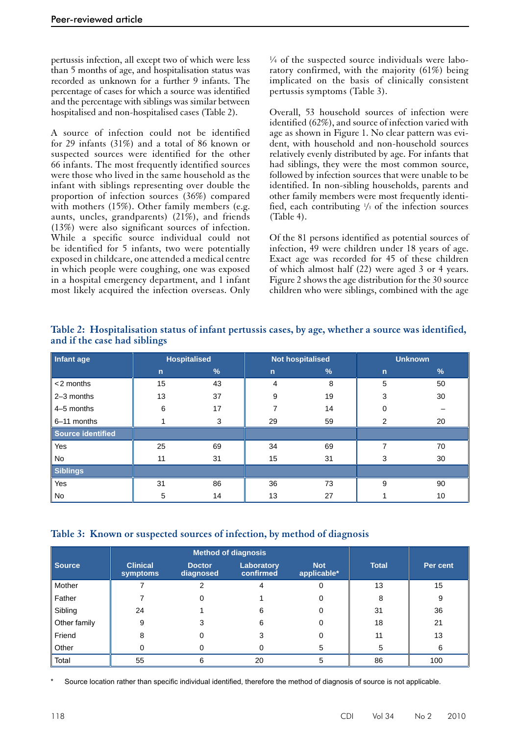pertussis infection, all except two of which were less than 5 months of age, and hospitalisation status was recorded as unknown for a further 9 infants. The percentage of cases for which a source was identified and the percentage with siblings was similar between hospitalised and non-hospitalised cases (Table 2).

A source of infection could not be identified for 29 infants (31%) and a total of 86 known or suspected sources were identified for the other 66 infants. The most frequently identified sources were those who lived in the same household as the infant with siblings representing over double the proportion of infection sources (36%) compared with mothers (15%). Other family members (e.g. aunts, uncles, grandparents) (21%), and friends (13%) were also significant sources of infection. While a specific source individual could not be identified for 5 infants, two were potentially exposed in childcare, one attended a medical centre in which people were coughing, one was exposed in a hospital emergency department, and 1 infant most likely acquired the infection overseas. Only

¼ of the suspected source individuals were laboratory confirmed, with the majority (61%) being implicated on the basis of clinically consistent pertussis symptoms (Table 3).

Overall, 53 household sources of infection were identified (62%), and source of infection varied with age as shown in Figure 1. No clear pattern was evident, with household and non-household sources relatively evenly distributed by age. For infants that had siblings, they were the most common source, followed by infection sources that were unable to be identified. In non-sibling households, parents and other family members were most frequently identified, each contributing  $\frac{1}{3}$  of the infection sources (Table 4).

Of the 81 persons identified as potential sources of infection, 49 were children under 18 years of age. Exact age was recorded for 45 of these children of which almost half (22) were aged 3 or 4 years. Figure 2 shows the age distribution for the 30 source children who were siblings, combined with the age

| Infant age               |              | <b>Hospitalised</b> | <b>Not hospitalised</b> |               | <b>Unknown</b> |    |
|--------------------------|--------------|---------------------|-------------------------|---------------|----------------|----|
|                          | $\mathsf{n}$ | $\sqrt{2}$          | $\mathbf n$             | $\frac{9}{6}$ | $\mathbf n$    | %  |
| $<$ 2 months             | 15           | 43                  | 4                       | 8             | 5              | 50 |
| $2-3$ months             | 13           | 37                  | 9                       | 19            | 3              | 30 |
| 4-5 months               | 6            | 17                  |                         | 14            | 0              |    |
| 6-11 months              |              | 3                   | 29                      | 59            | 2              | 20 |
| <b>Source identified</b> |              |                     |                         |               |                |    |
| Yes                      | 25           | 69                  | 34                      | 69            | 7              | 70 |
| No                       | 11           | 31                  | 15                      | 31            | 3              | 30 |
| <b>Siblings</b>          |              |                     |                         |               |                |    |
| Yes                      | 31           | 86                  | 36                      | 73            | 9              | 90 |
| No                       | 5            | 14                  | 13                      | 27            |                | 10 |

**Table 2: Hospitalisation status of infant pertussis cases, by age, whether a source was identified, and if the case had siblings**

#### **Table 3: Known or suspected sources of infection, by method of diagnosis**

|              |                             | <b>Method of diagnosis</b> |                         |                           |              |          |
|--------------|-----------------------------|----------------------------|-------------------------|---------------------------|--------------|----------|
| Source       | <b>Clinical</b><br>symptoms | <b>Doctor</b><br>diagnosed | Laboratory<br>confirmed | <b>Not</b><br>applicable* | <b>Total</b> | Per cent |
| Mother       |                             |                            |                         |                           | 13           | 15       |
| Father       |                             |                            |                         |                           | 8            | 9        |
| Sibling      | 24                          |                            | 6                       |                           | 31           | 36       |
| Other family | 9                           |                            | 6                       |                           | 18           | 21       |
| Friend       | 8                           |                            |                         |                           | 11           | 13       |
| Other        | O                           |                            |                         | 5                         | 5            | 6        |
| Total        | 55                          | 6                          | 20                      | 5                         | 86           | 100      |

Source location rather than specific individual identified, therefore the method of diagnosis of source is not applicable.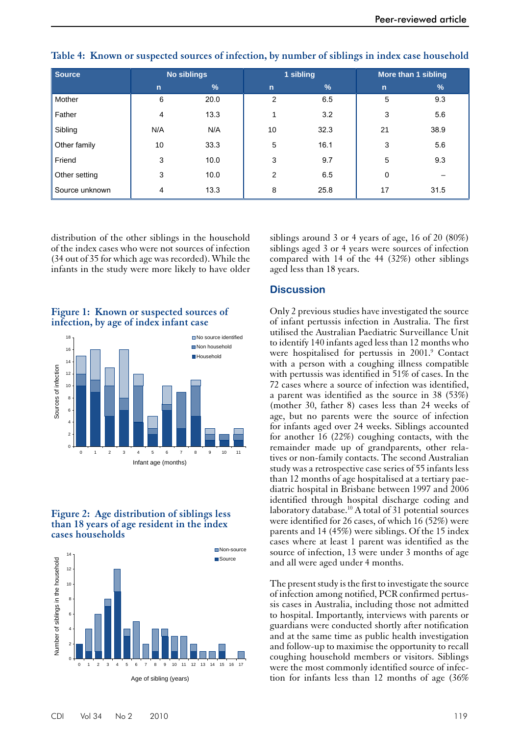| <b>Source</b>  |              | No siblings   | 1 sibling   |      | More than 1 sibling |      |
|----------------|--------------|---------------|-------------|------|---------------------|------|
|                | $\mathsf{n}$ | $\frac{9}{6}$ | $\mathbf n$ | $\%$ | $\mathsf{n}$        | $\%$ |
| Mother         | 6            | 20.0          | 2           | 6.5  | 5                   | 9.3  |
| Father         | 4            | 13.3          |             | 3.2  | 3                   | 5.6  |
| Sibling        | N/A          | N/A           | 10          | 32.3 | 21                  | 38.9 |
| Other family   | 10           | 33.3          | 5           | 16.1 | 3                   | 5.6  |
| Friend         | 3            | 10.0          | 3           | 9.7  | 5                   | 9.3  |
| Other setting  | 3            | 10.0          | 2           | 6.5  | $\mathbf 0$         |      |
| Source unknown | 4            | 13.3          | 8           | 25.8 | 17                  | 31.5 |

| Table 4: Known or suspected sources of infection, by number of siblings in index case household |  |  |  |  |  |  |  |  |
|-------------------------------------------------------------------------------------------------|--|--|--|--|--|--|--|--|
|-------------------------------------------------------------------------------------------------|--|--|--|--|--|--|--|--|

distribution of the other siblings in the household of the index cases who were not sources of infection (34 out of 35 for which age was recorded). While the infants in the study were more likely to have older

**Figure 1: Known or suspected sources of infection, by age of index infant case**



#### **Figure 2: Age distribution of siblings less than 18 years of age resident in the index cases households**



siblings around 3 or 4 years of age, 16 of 20 (80%) siblings aged 3 or 4 years were sources of infection compared with 14 of the 44 (32%) other siblings aged less than 18 years.

# **Discussion**

Only 2 previous studies have investigated the source of infant pertussis infection in Australia. The first utilised the Australian Paediatric Surveillance Unit to identify 140 infants aged less than 12 months who were hospitalised for pertussis in 2001.<sup>9</sup> Contact with a person with a coughing illness compatible with pertussis was identified in 51% of cases. In the 72 cases where a source of infection was identified, a parent was identified as the source in 38 (53%) (mother 30, father 8) cases less than 24 weeks of age, but no parents were the source of infection for infants aged over 24 weeks. Siblings accounted for another 16 (22%) coughing contacts, with the remainder made up of grandparents, other relatives or non-family contacts. The second Australian study was a retrospective case series of 55 infants less than 12 months of age hospitalised at a tertiary paediatric hospital in Brisbane between 1997 and 2006 identified through hospital discharge coding and laboratory database.<sup>10</sup> A total of 31 potential sources were identified for 26 cases, of which 16 (52%) were parents and 14 (45%) were siblings. Of the 15 index cases where at least 1 parent was identified as the source of infection, 13 were under 3 months of age and all were aged under 4 months.

The present study is the first to investigate the source of infection among notified, PCR confirmed pertussis cases in Australia, including those not admitted to hospital. Importantly, interviews with parents or guardians were conducted shortly after notification and at the same time as public health investigation and follow-up to maximise the opportunity to recall coughing household members or visitors. Siblings were the most commonly identified source of infection for infants less than 12 months of age (36%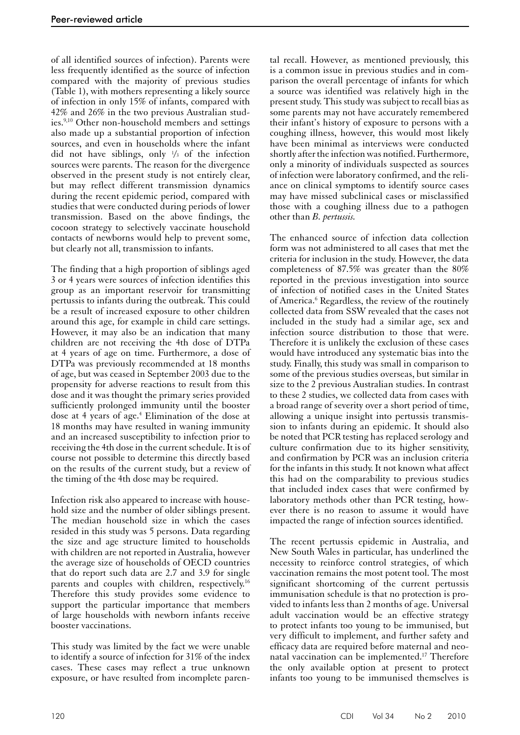of all identified sources of infection). Parents were less frequently identified as the source of infection compared with the majority of previous studies (Table 1), with mothers representing a likely source of infection in only 15% of infants, compared with 42% and 26% in the two previous Australian studies.<sup>9,10</sup> Other non-household members and settings also made up a substantial proportion of infection sources, and even in households where the infant did not have siblings, only 1 /3 of the infection sources were parents. The reason for the divergence observed in the present study is not entirely clear, but may reflect different transmission dynamics during the recent epidemic period, compared with studies that were conducted during periods of lower transmission. Based on the above findings, the cocoon strategy to selectively vaccinate household contacts of newborns would help to prevent some, but clearly not all, transmission to infants.

The finding that a high proportion of siblings aged 3 or 4 years were sources of infection identifies this group as an important reservoir for transmitting pertussis to infants during the outbreak. This could be a result of increased exposure to other children around this age, for example in child care settings. However, it may also be an indication that many children are not receiving the 4th dose of DTPa at 4 years of age on time. Furthermore, a dose of DTPa was previously recommended at 18 months of age, but was ceased in September 2003 due to the propensity for adverse reactions to result from this dose and it was thought the primary series provided sufficiently prolonged immunity until the booster dose at 4 years of age.<sup>4</sup> Elimination of the dose at 18 months may have resulted in waning immunity and an increased susceptibility to infection prior to receiving the 4th dose in the current schedule. It is of course not possible to determine this directly based on the results of the current study, but a review of the timing of the 4th dose may be required.

Infection risk also appeared to increase with household size and the number of older siblings present. The median household size in which the cases resided in this study was 5 persons. Data regarding the size and age structure limited to households with children are not reported in Australia, however the average size of households of OECD countries that do report such data are 2.7 and 3.9 for single parents and couples with children, respectively.<sup>16</sup> Therefore this study provides some evidence to support the particular importance that members of large households with newborn infants receive booster vaccinations.

This study was limited by the fact we were unable to identify a source of infection for 31% of the index cases. These cases may reflect a true unknown exposure, or have resulted from incomplete parental recall. However, as mentioned previously, this is a common issue in previous studies and in comparison the overall percentage of infants for which a source was identified was relatively high in the present study. This study was subject to recall bias as some parents may not have accurately remembered their infant's history of exposure to persons with a coughing illness, however, this would most likely have been minimal as interviews were conducted shortly after the infection was notified. Furthermore, only a minority of individuals suspected as sources of infection were laboratory confirmed, and the reliance on clinical symptoms to identify source cases may have missed subclinical cases or misclassified those with a coughing illness due to a pathogen other than *B. pertussis.*

The enhanced source of infection data collection form was not administered to all cases that met the criteria for inclusion in the study. However, the data completeness of 87.5% was greater than the 80% reported in the previous investigation into source of infection of notified cases in the United States of America.<sup>6</sup> Regardless, the review of the routinely collected data from SSW revealed that the cases not included in the study had a similar age, sex and infection source distribution to those that were. Therefore it is unlikely the exclusion of these cases would have introduced any systematic bias into the study. Finally, this study was small in comparison to some of the previous studies overseas, but similar in size to the 2 previous Australian studies. In contrast to these 2 studies, we collected data from cases with a broad range of severity over a short period of time, allowing a unique insight into pertussis transmission to infants during an epidemic. It should also be noted that PCR testing has replaced serology and culture confirmation due to its higher sensitivity, and confirmation by PCR was an inclusion criteria for the infants in this study. It not known what affect this had on the comparability to previous studies that included index cases that were confirmed by laboratory methods other than PCR testing, however there is no reason to assume it would have impacted the range of infection sources identified.

The recent pertussis epidemic in Australia, and New South Wales in particular, has underlined the necessity to reinforce control strategies, of which vaccination remains the most potent tool. The most significant shortcoming of the current pertussis immunisation schedule is that no protection is provided to infants less than 2 months of age. Universal adult vaccination would be an effective strategy to protect infants too young to be immunised, but very difficult to implement, and further safety and efficacy data are required before maternal and neonatal vaccination can be implemented.17 Therefore the only available option at present to protect infants too young to be immunised themselves is